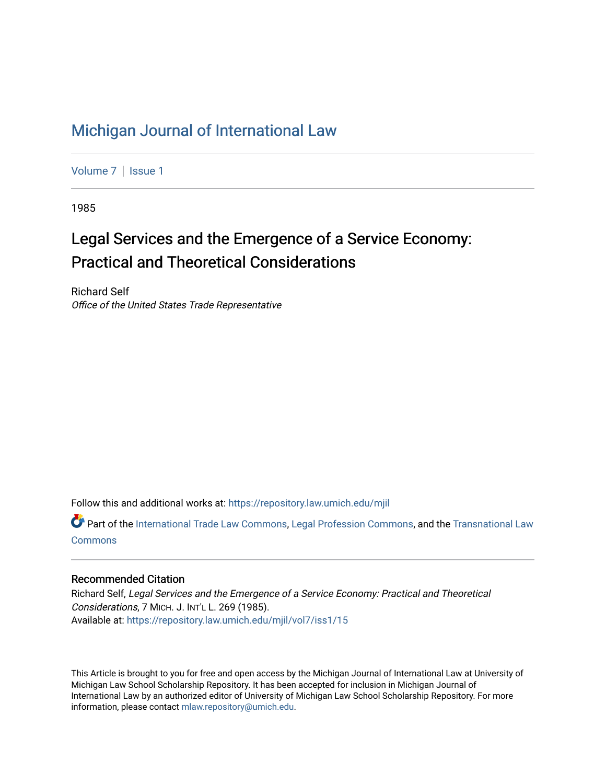## [Michigan Journal of International Law](https://repository.law.umich.edu/mjil)

[Volume 7](https://repository.law.umich.edu/mjil/vol7) | Issue 1

1985

# Legal Services and the Emergence of a Service Economy: Practical and Theoretical Considerations

Richard Self Office of the United States Trade Representative

Follow this and additional works at: [https://repository.law.umich.edu/mjil](https://repository.law.umich.edu/mjil?utm_source=repository.law.umich.edu%2Fmjil%2Fvol7%2Fiss1%2F15&utm_medium=PDF&utm_campaign=PDFCoverPages) 

Part of the [International Trade Law Commons](http://network.bepress.com/hgg/discipline/848?utm_source=repository.law.umich.edu%2Fmjil%2Fvol7%2Fiss1%2F15&utm_medium=PDF&utm_campaign=PDFCoverPages), [Legal Profession Commons,](http://network.bepress.com/hgg/discipline/1075?utm_source=repository.law.umich.edu%2Fmjil%2Fvol7%2Fiss1%2F15&utm_medium=PDF&utm_campaign=PDFCoverPages) and the [Transnational Law](http://network.bepress.com/hgg/discipline/1123?utm_source=repository.law.umich.edu%2Fmjil%2Fvol7%2Fiss1%2F15&utm_medium=PDF&utm_campaign=PDFCoverPages) [Commons](http://network.bepress.com/hgg/discipline/1123?utm_source=repository.law.umich.edu%2Fmjil%2Fvol7%2Fiss1%2F15&utm_medium=PDF&utm_campaign=PDFCoverPages)

### Recommended Citation

Richard Self, Legal Services and the Emergence of a Service Economy: Practical and Theoretical Considerations, 7 MICH. J. INT'L L. 269 (1985). Available at: [https://repository.law.umich.edu/mjil/vol7/iss1/15](https://repository.law.umich.edu/mjil/vol7/iss1/15?utm_source=repository.law.umich.edu%2Fmjil%2Fvol7%2Fiss1%2F15&utm_medium=PDF&utm_campaign=PDFCoverPages) 

This Article is brought to you for free and open access by the Michigan Journal of International Law at University of Michigan Law School Scholarship Repository. It has been accepted for inclusion in Michigan Journal of International Law by an authorized editor of University of Michigan Law School Scholarship Repository. For more information, please contact [mlaw.repository@umich.edu](mailto:mlaw.repository@umich.edu).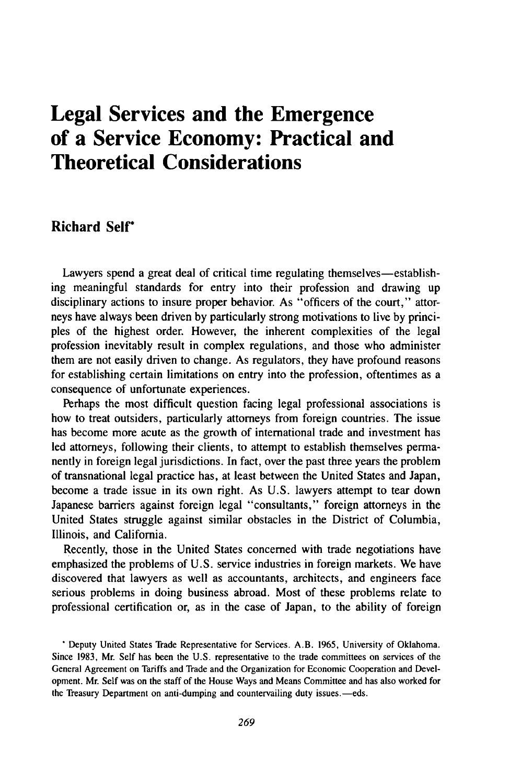## **Legal Services and the Emergence of a Service Economy: Practical and Theoretical Considerations**

## **Richard Self\***

Lawyers spend a great deal of critical time regulating themselves—establishing meaningful standards for entry into their profession and drawing up disciplinary actions to insure proper behavior. As "officers of the court," attorneys have always been driven by particularly strong motivations to live by principles of the highest order. However, the inherent complexities of the legal profession inevitably result in complex regulations, and those who administer them are not easily driven to change. As regulators, they have profound reasons for establishing certain limitations on entry into the profession, oftentimes as a consequence of unfortunate experiences.

Perhaps the most difficult question facing legal professional associations is how to treat outsiders, particularly attorneys from foreign countries. The issue has become more acute as the growth of international trade and investment has led attorneys, following their clients, to attempt to establish themselves permanently in foreign legal jurisdictions. In fact, over the past three years the problem of transnational legal practice has, at least between the United States and Japan, become a trade issue in its own right. As U.S. lawyers attempt to tear down Japanese barriers against foreign legal "consultants," foreign attorneys in the United States struggle against similar obstacles in the District of Columbia, Illinois, and California.

Recently, those in the United States concerned with trade negotiations have emphasized the problems of U.S. service industries in foreign markets. We have discovered that lawyers as well as accountants, architects, and engineers face serious problems in doing business abroad. Most of these problems relate to professional certification or, as in the case of Japan, to the ability of foreign

**\*** Deputy United States Trade Representative for Services. A.B. 1965, University of Oklahoma. Since 1983, Mr. Self has been the U.S. representative to the trade committees on services of the General Agreement on Tariffs and Trade and the Organization for Economic Cooperation and Development. Mr. Self was on the staff of the House Ways and Means Committee and has also worked for the Treasury Department on anti-dumping and countervailing duty issues.-eds.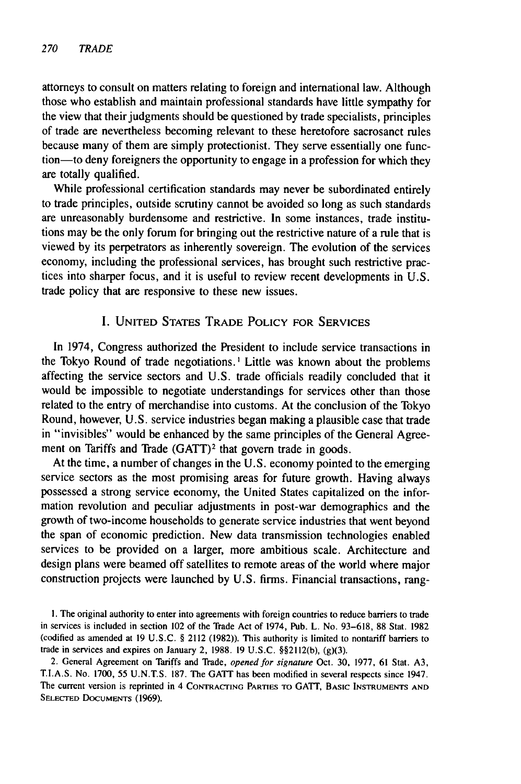attorneys to consult on matters relating to foreign and international law. Although those who establish and maintain professional standards have little sympathy for the view that their judgments should be questioned by trade specialists, principles of trade are nevertheless becoming relevant to these heretofore sacrosanct rules because many of them are simply protectionist. They serve essentially one function—to deny foreigners the opportunity to engage in a profession for which they are totally qualified.

While professional certification standards may never be subordinated entirely to trade principles, outside scrutiny cannot be avoided so long as such standards are unreasonably burdensome and restrictive. In some instances, trade institutions may be the only forum for bringing out the restrictive nature of a rule that is viewed by its perpetrators as inherently sovereign. The evolution of the services economy, including the professional services, has brought such restrictive practices into sharper focus, and it is useful to review recent developments in U.S. trade policy that are responsive to these new issues.

#### I. **UNITED** STATES TRADE POLICY FOR **SERVICES**

In 1974, Congress authorized the President to include service transactions in the Tokyo Round of trade negotiations. **I** Little was known about the problems affecting the service sectors and U.S. trade officials readily concluded that it would be impossible to negotiate understandings for services other than those related to the entry of merchandise into customs. At the conclusion of the Tokyo Round, however, U.S. service industries began making a plausible case that trade in "invisibles" would be enhanced by the same principles of the General Agreement on Tariffs and Trade  $(GATT)^2$  that govern trade in goods.

At the time, a number of changes in the U.S. economy pointed to the emerging service sectors as the most promising areas for future growth. Having always possessed a strong service economy, the United States capitalized on the information revolution and peculiar adjustments in post-war demographics and the growth of two-income households to generate service industries that went beyond the span of economic prediction. New data transmission technologies enabled services to be provided on a larger, more ambitious scale. Architecture and design plans were beamed off satellites to remote areas of the world where major construction projects were launched by U.S. firms. Financial transactions, rang-

**1.** The original authority to enter into agreements with foreign countries to reduce barriers to trade in services is included in section 102 of the Trade Act of 1974, Pub. L. No. 93-618, 88 Stat. 1982 (codified as amended at 19 U.S.C. § 2112 (1982)). This authority is limited to nontariff barriers to trade in services and expires on January 2, 1988. 19 U.S.C. §§2112(b), (g)(3).

2. General Agreement on Tariffs and Trade, *opened for signature* Oct. 30, 1977, 61 Stat. A3, T.I.A.S. No. 1700, 55 U.N.T.S. 187. The **GATT** has been modified in several respects since 1947. The current version is reprinted in 4 **CONTRACTING** PARTIES TO GATT, **BASIC INSTRUMENTS AND** SELECTED DOCUMENTS (1969).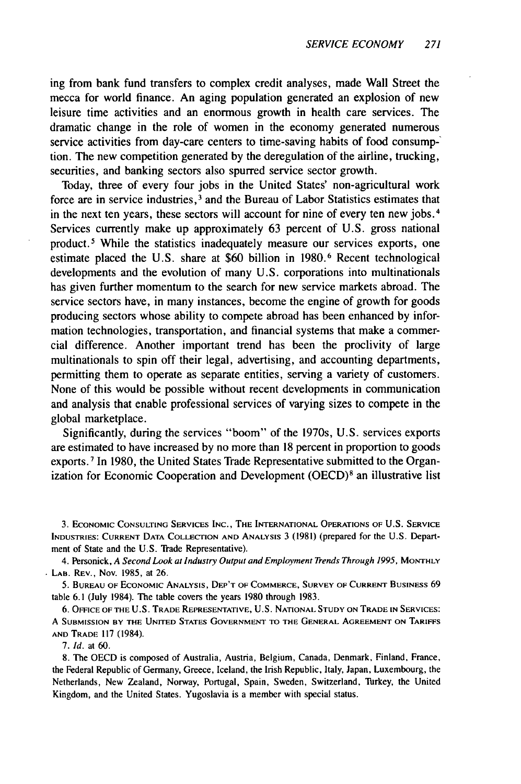ing from bank fund transfers to complex credit analyses, made Wall Street the mecca for world finance. An aging population generated an explosion of new leisure time activities and an enormous growth in health care services. The dramatic change in the role of women in the economy generated numerous service activities from day-care centers to time-saving habits of food consumption. The new competition generated by the deregulation of the airline, trucking, securities, and banking sectors also spurred service sector growth.

Today, three of every four jobs in the United States' non-agricultural work force are in service industries, 3 and the Bureau of Labor Statistics estimates that in the next ten years, these sectors will account for nine of every ten new jobs. <sup>4</sup> Services currently make up approximately 63 percent of U.S. gross national product. 5 While the statistics inadequately measure our services exports, one estimate placed the U.S. share at \$60 billion in 1980.<sup>6</sup> Recent technological developments and the evolution of many U.S. corporations into multinationals has given further momentum to the search for new service markets abroad. The service sectors have, in many instances, become the engine of growth for goods producing sectors whose ability to compete abroad has been enhanced by information technologies, transportation, and financial systems that make a commercial difference. Another important trend has been the proclivity of large multinationals to spin off their legal, advertising, and accounting departments, permitting them to operate as separate entities, serving a variety of customers. None of this would be possible without recent developments in communication and analysis that enable professional services of varying sizes to compete in the global marketplace.

Significantly, during the services "boom" of the 1970s, U.S. services exports are estimated to have increased by no more than 18 percent in proportion to goods exports. **7** In 1980, the United States Trade Representative submitted to the Organization for Economic Cooperation and Development (OECD)<sup>8</sup> an illustrative list

3. ECONOMIC **CONSULTING SERVICES** INC., **THE INTERNATIONAL OPERATIONS OF** U.S. SERVICE **INDUSTRIES:** CURRENT **DATA** COLLECTION **AND** ANALYSIS 3 **(1981)** (prepared **for** the U.S. Department of State and the U.S. Trade Representative).

4. Personick, *A Second Look at* Industry Output and Employment *Trends* Through 1995, MONTHLY LAB. REV., Nov. 1985, at 26.

5. **BUREAU** OF ECONOMIC **ANALYSIS,** DEP'T OF COMMERCE, SURVEY OF CURRENT BUSINESS 69 table **6.1** (July 1984). The table covers the years 1980 through 1983.

6. **OFFICE** OF THE U.S. TRADE REPRESENTATIVE, U.S. **NATIONAL STUDY ON** TRADE **IN SERVICES:** A **SUBMISSION** BY THE **UNITED** STATES **GOVERNMENT** TO THE **GENERAL AGREEMENT ON** TARIFFS **AND** TRADE 117 (1984).

7. Id. at 60.

8. The OECD is composed of Australia, Austria, Belgium, Canada, Denmark, Finland, France, the Federal Republic of Germany, Greece, Iceland, the Irish Republic, Italy, Japan, Luxembourg, the Netherlands, New Zealand, Norway, Portugal, Spain, Sweden, Switzerland, TUrkey, the United Kingdom, and the United States. Yugoslavia is a member with special status.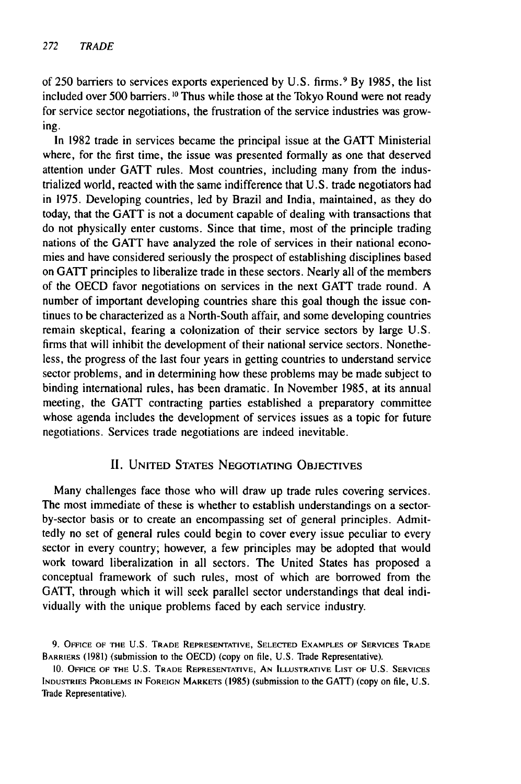of 250 barriers to services exports experienced **by** U.S. firms. <sup>9</sup>**By** 1985, the list included over 500 barriers. **10** Thus while those at the Tokyo Round were not ready for service sector negotiations, the frustration of the service industries was growing.

In 1982 trade in services became the principal issue at the GATT Ministerial where, for the first time, the issue was presented formally as one that deserved attention under GATT rules. Most countries, including many from the industrialized world, reacted with the same indifference that U.S. trade negotiators had in 1975. Developing countries, led by Brazil and India, maintained, as they do today, that the GATT is not a document capable of dealing with transactions that do not physically enter customs. Since that time, most of the principle trading nations of the GATT have analyzed the role of services in their national economies and have considered seriously the prospect of establishing disciplines based on GATT principles to liberalize trade in these sectors. Nearly all of the members of the OECD favor negotiations on services in the next GATT trade round. A number of important developing countries share this goal though the issue continues to be characterized as a North-South affair, and some developing countries remain skeptical, fearing a colonization of their service sectors by large U.S. firms that will inhibit the development of their national service sectors. Nonetheless, the progress of the last four years in getting countries to understand service sector problems, and in determining how these problems may be made subject to binding international rules, has been dramatic. In November 1985, at its annual meeting, the GATT contracting parties established a preparatory committee whose agenda includes the development of services issues as a topic for future negotiations. Services trade negotiations are indeed inevitable.

### II. UNITED STATES NEGOTIATING OBJECTIVES

Many challenges face those who will draw up trade rules covering services. The most immediate of these is whether to establish understandings on a sectorby-sector basis or to create an encompassing set of general principles. Admittedly no set of general rules could begin to cover every issue peculiar to every sector in every country; however, a few principles may be adopted that would work toward liberalization in all sectors. The United States has proposed a conceptual framework of such rules, most of which are borrowed from the GATT, through which it will seek parallel sector understandings that deal individually with the unique problems faced by each service industry.

<sup>9.</sup> **OFFICE** OF THE U.S. TRADE REPRESENTATIVE, SELECTED **EXAMPLES** OF SERVICES TRADE BARRIERS (1981) (submission to the OECD) (copy on file, U.S. Trade Representative).

<sup>10.</sup> **OFFICE** OF THE **U.S.** TRADE REPRESENTATIVE, **AN** ILLUSTRATIVE LIST OF U.S. **SERVICES INDUSTRIES** PROBLEMS IN **FOREIGN** MARKETS (1985) (submission to the GAlT') (copy on file, U.S. Trade Representative).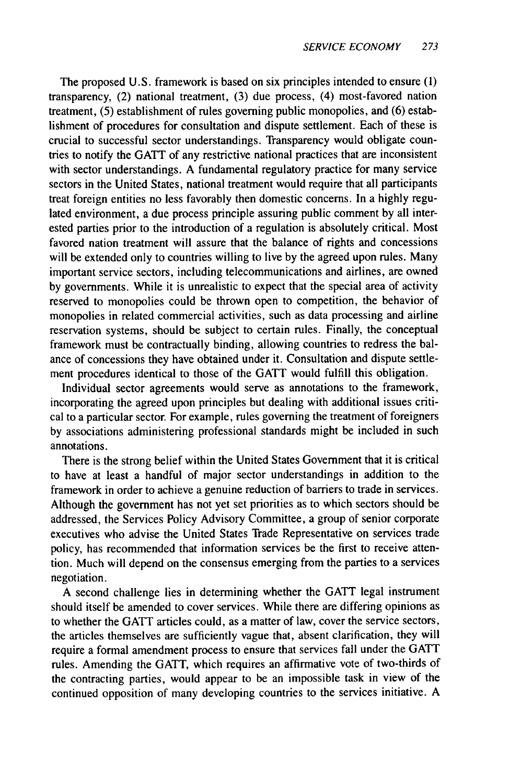The proposed U.S. framework is based on six principles intended to ensure (1) transparency, (2) national treatment, (3) due process, (4) most-favored nation treatment, (5) establishment of rules governing public monopolies, and (6) establishment of procedures for consultation and dispute settlement. Each of these is crucial to successful sector understandings. Transparency would obligate countries to notify the GATT of any restrictive national practices that are inconsistent with sector understandings. A fundamental regulatory practice for many service sectors in the United States, national treatment would require that all participants treat foreign entities no less favorably then domestic concerns. In a highly regulated environment, a due process principle assuring public comment by all interested parties prior to the introduction of a regulation is absolutely critical. Most favored nation treatment will assure that the balance of rights and concessions will be extended only to countries willing to live by the agreed upon rules. Many important service sectors, including telecommunications and airlines, are owned by governments. While it is unrealistic to expect that the special area of activity reserved to monopolies could be thrown open to competition, the behavior of monopolies in related commercial activities, such as data processing and airline reservation systems, should be subject to certain rules. Finally, the conceptual framework must be contractually binding, allowing countries to redress the balance of concessions they have obtained under it. Consultation and dispute settlement procedures identical to those of the GATT would fulfill this obligation.

Individual sector agreements would serve as annotations to the framework, incorporating the agreed upon principles but dealing with additional issues critical to a particular sector. For example, rules governing the treatment of foreigners by associations administering professional standards might be included in such annotations.

There is the strong belief within the United States Government that it is critical to have at least a handful of major sector understandings in addition to the framework in order to achieve a genuine reduction of barriers to trade in services. Although the government has not yet set priorities as to which sectors should be addressed, the Services Policy Advisory Committee, a group of senior corporate executives who advise the United States Trade Representative on services trade policy, has recommended that information services be the first to receive attention. Much will depend on the consensus emerging from the parties to a services negotiation.

A second challenge lies in determining whether the GATT legal instrument should itself be amended to cover services. While there are differing opinions as to whether the GATT articles could, as a matter of law, cover the service sectors, the articles themselves are sufficiently vague that, absent clarification, they will require a formal amendment process to ensure that services fall under the GATT rules. Amending the GATT, which requires an affirmative vote of two-thirds of the contracting parties, would appear to be an impossible task in view of the continued opposition of many developing countries to the services initiative. A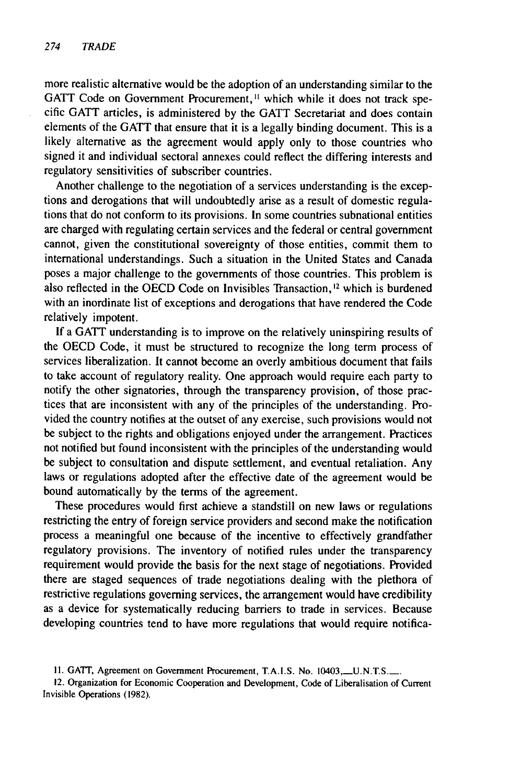more realistic alternative would be the adoption of an understanding similar to the GATT Code on Government Procurement,<sup>11</sup> which while it does not track specific GATT articles, is administered by the GATT Secretariat and does contain elements of the GATT that ensure that it is a legally binding document. This is a likely alternative as the agreement would apply only to those countries who signed it and individual sectoral annexes could reflect the differing interests and regulatory sensitivities of subscriber countries.

Another challenge to the negotiation of a services understanding is the exceptions and derogations that will undoubtedly arise as a result of domestic regulations that do not conform to its provisions. In some countries subnational entities are charged with regulating certain services and the federal or central government cannot, given the constitutional sovereignty of those entities, commit them to international understandings. Such a situation in the United States and Canada poses a major challenge to the governments of those countries. This problem is also reflected in the OECD Code on Invisibles Transaction,<sup>12</sup> which is burdened with an inordinate list of exceptions and derogations that have rendered the Code relatively impotent.

If a GATT understanding is to improve on the relatively uninspiring results of the OECD Code, it must be structured to recognize the long term process of services liberalization. It cannot become an overly ambitious document that fails to take account of regulatory reality. One approach would require each party to notify the other signatories, through the transparency provision, of those practices that are inconsistent with any of the principles of the understanding. Provided the country notifies at the outset of any exercise, such provisions would not be subject to the rights and obligations enjoyed under the arrangement. Practices not notified but found inconsistent with the principles of the understanding would be subject to consultation and dispute settlement, and eventual retaliation. Any laws or regulations adopted after the effective date of the agreement would be bound automatically by the terms of the agreement.

These procedures would first achieve a standstill on new laws or regulations restricting the entry of foreign service providers and second make the notification process a meaningful one because of the incentive to effectively grandfather regulatory provisions. The inventory of notified rules under the transparency requirement would provide the basis for the next stage of negotiations. Provided there are staged sequences of trade negotiations dealing with the plethora of restrictive regulations governing services, the arrangement would have credibility as a device for systematically reducing barriers to trade in services. Because developing countries tend to have more regulations that would require notifica-

<sup>11.</sup> GATT, Agreement on Government Procurement, T.A.I.S. No. 10403, U.N.T.S.

<sup>12.</sup> Organization for Economic Cooperation and Development, Code of Liberalisation of Current Invisible Operations (1982).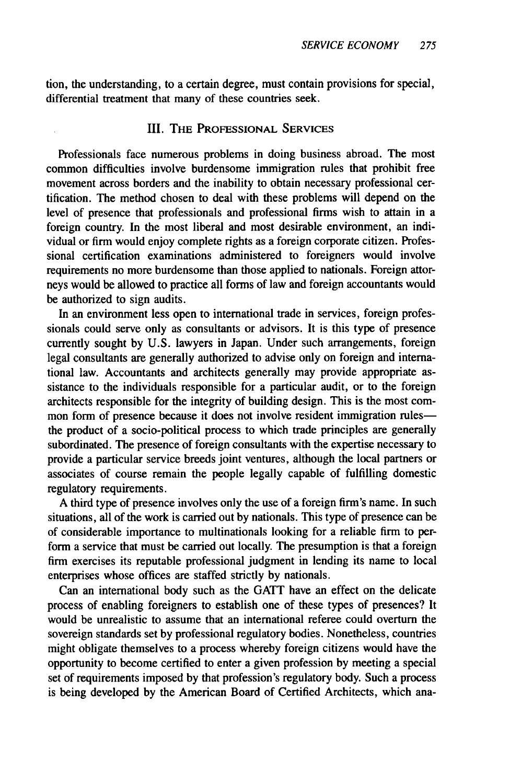tion, the understanding, to a certain degree, must contain provisions for special, differential treatment that many of these countries seek.

#### III. THE **PROFESSIONAL SERVICES**

Professionals face numerous problems in doing business abroad. The most common difficulties involve burdensome immigration rules that prohibit free movement across borders and the inability to obtain necessary professional certification. The method chosen to deal with these problems will depend on the level of presence that professionals and professional firms wish to attain in a foreign country. In the most liberal and most desirable environment, an individual or firm would enjoy complete rights as a foreign corporate citizen. Professional certification examinations administered to foreigners would involve requirements no more burdensome than those applied to nationals. Foreign attorneys would be allowed to practice all forms of law and foreign accountants would be authorized to sign audits.

In an environment less open to international trade in services, foreign professionals could serve only as consultants or advisors. It is this type of presence currently sought **by** U.S. lawyers in Japan. Under such arrangements, foreign legal consultants are generally authorized to advise only on foreign and international law. Accountants and architects generally may provide appropriate assistance to the individuals responsible for a particular audit, or to the foreign architects responsible for the integrity of building design. This is the most common form of presence because it does not involve resident immigration rulesthe product of a socio-political process to which trade principles are generally subordinated. The presence of foreign consultants with the expertise necessary to provide a particular service breeds joint ventures, although the local partners or associates of course remain the people legally capable of fulfilling domestic regulatory requirements.

A third type of presence involves only the use of a foreign firm's name. In such situations, all of the work is carried out **by** nationals. This type of presence can be of considerable importance to multinationals looking for a reliable firm to perform a service that must be carried out locally. The presumption is that a foreign firm exercises its reputable professional judgment in lending its name to local enterprises whose offices are staffed strictly **by** nationals.

Can an international body such as the GATT have an effect on the delicate process of enabling foreigners to establish one of these types of presences? It would be unrealistic to assume that an international referee could overturn the sovereign standards set **by** professional regulatory bodies. Nonetheless, countries might obligate themselves to a process whereby foreign citizens would have the opportunity to become certified to enter a given profession **by** meeting a special set of requirements imposed **by** that profession's regulatory body. Such a process is being developed **by** the American Board of Certified Architects, which ana